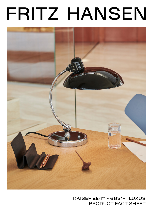# FRITZ HANSEN



## KAISER idell™ - 6631-T LUXUS PRODUCT FACT SHEET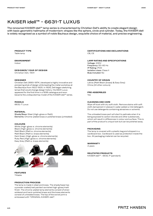## KAISER idell™ - 6631-T LUXUS

The renowned KAISER idell™ lamp series is characterised by Christian Dell's ability to create elegant design with basic geometric hallmarks of modernism: shapes like the sphere, circle and cylinder. Today, the KAISER idell is widely recognised as a symbol of noble Bauhaus design, exquisite choice of material, and precise engineering.

#### **PRODUCT TYPE** Table lamp

### **ENVIRONMENT**

Indoor

#### **DESIGNER/ YEAR OF DESIGN**

Christian Dell, 1931

#### **DESIGNER**

Christian Dell (1893-1974 ) developed a highly innovative and pioneering style of design while leading the metal workshop at the Bauhaus from 1922-1925. In 1926, Dell began sketching lamps that would change design history. His 6631 Luxus appeared for the first time in a 1936 catalogue and soon became the undisputed top model of the KAISER idell™ series.

#### **MODELS**

6631-T Luxus

#### **MATERIAL**

Shade/Base: Steel (High-gloss or Matt) Elements: Chrome-plated brass or polished brass (untreated)

#### **COLOURS**

White (High-gloss w. chrome elements) Black (High-gloss w. chrome elements) Matt Black (Matt w. chrome elements) Matt Black (Matt w. brass elements) Dark Green (High-gloss w. chrome elements) Ruby Red (High-gloss w. chrome elements) Easy Grey (Matt w. brass elements)



**FEATURES** Tiltable

#### **PRODUCTION PROCESS**

The lamp is made in steel and brass. The shade/base has a powder coated/wet painted varnished high-gloss/matt finish. The chrome-plated lamp elements consist of silversoldered and hand-polished brass and the brass elements consist of untreated brass. The top of the swivel joint is embossed with "ORIGINAL KAISER-idell".

**CERTIFICATIONS AND DECLARATIONS** CB, CE

#### **LAMP RATING AND SPECIFICATIONS**

Voltage: 230V Frequency: 50-60 Hz IP Rating: IP20 Isolation class: Class II Bulp included: No

#### **COUNTRY OF ORIGIN**

Latvia (Matt Black (brass) & Easy Grey) China (All other colours)

**PRE-ASSEMBLED**

Yes

#### **CLEANING AND CARE**

Wipe off dust with dry soft cloth. Remove stains with soft cloth dampened in lukewarm water added a mild detergent. Do not use detergents containing abrasives or solvents.

The untreated brass part will start to patinate when it is being exposed to carbon dioxide and other substances, which will result in differences in colour and surface. This is part of the product's unique look but can be polished away.

#### **PACKAGING**

The lamp is covered with a plastic bag and shipped in a cardboard box. Cardboard is used as protection inside the box. All packaging material can be recycled.

**WARRANTY**

2 years

**RELETATED PRODUCTS** KAISER idell™ - 6631-P (pendant)